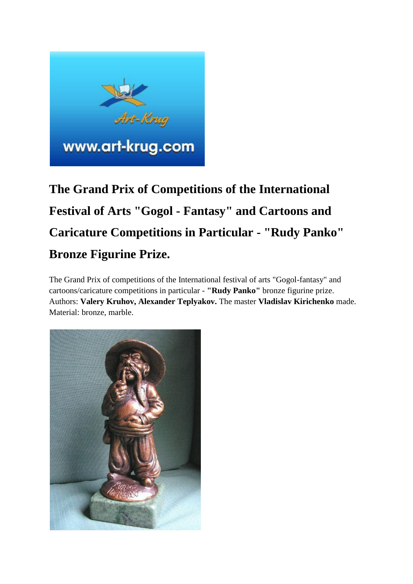

# **The Grand Prix of Competitions of the International Festival of Arts "Gogol - Fantasy" and Cartoons and Caricature Competitions in Particular - "Rudy Panko" Bronze Figurine Prize.**

The Grand Prix of competitions of the International festival of arts "Gogol-fantasy" and cartoons/caricature competitions in particular - **"Rudy Panko"** bronze figurine prize. Authors: **Valery Kruhov, Alexander Teplyakov.** The master **Vladislav Kirichenko** made. Material: bronze, marble.

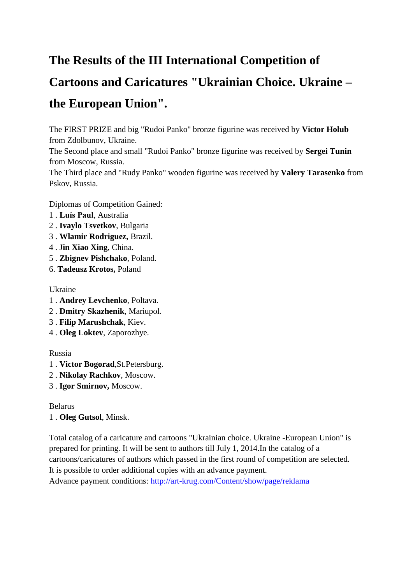# **The Results of the III International Competition of**

# **Cartoons and Caricatures "Ukrainian Choice. Ukraine – the European Union".**

The FIRST PRIZE and big "Rudoi Panko" bronze figurine was received by **Victor Holub** from Zdolbunov, Ukraine.

The Second place and small "Rudoi Panko" bronze figurine was received by **Sergei Tunin** from Moscow, Russia.

The Third place and "Rudy Panko" wooden figurine was received by **Valery Tarasenko** from Pskov, Russia.

Diplomas of Competition Gained:

- 1 . **Luís Paul**, Australia
- 2 . **Ivaylo Tsvetkov**, Bulgaria
- 3 . **Wlamir Rodriguez,** Brazil.
- 4 . J**in Xiao Xing**, China.
- 5 . **Zbignev Pishchako**, Poland.
- 6. **Tadeusz Krotos,** Poland

# Ukraine

- 1 . **Andrey Levchenko**, Poltava.
- 2 . **Dmitry Skazhenik**, Mariupol.
- 3 . **Filip Marushchak**, Kiev.
- 4 . **Oleg Loktev**, Zaporozhye.

# Russia

- 1 . **Victor Bogorad**,St.Petersburg.
- 2 . **Nikolay Rachkov**, Moscow.
- 3 . **Igor Smirnov,** Moscow.

Belarus

# 1 . **Oleg Gutsol**, Minsk.

Total catalog of a caricature and cartoons "Ukrainian choice. Ukraine -European Union" is prepared for printing. It will be sent to authors till July 1, 2014.In the catalog of a cartoons/caricatures of authors which passed in the first round of competition are selected. It is possible to order additional copies with an advance payment.

Advance payment conditions: <http://art-krug.com/Content/show/page/reklama>